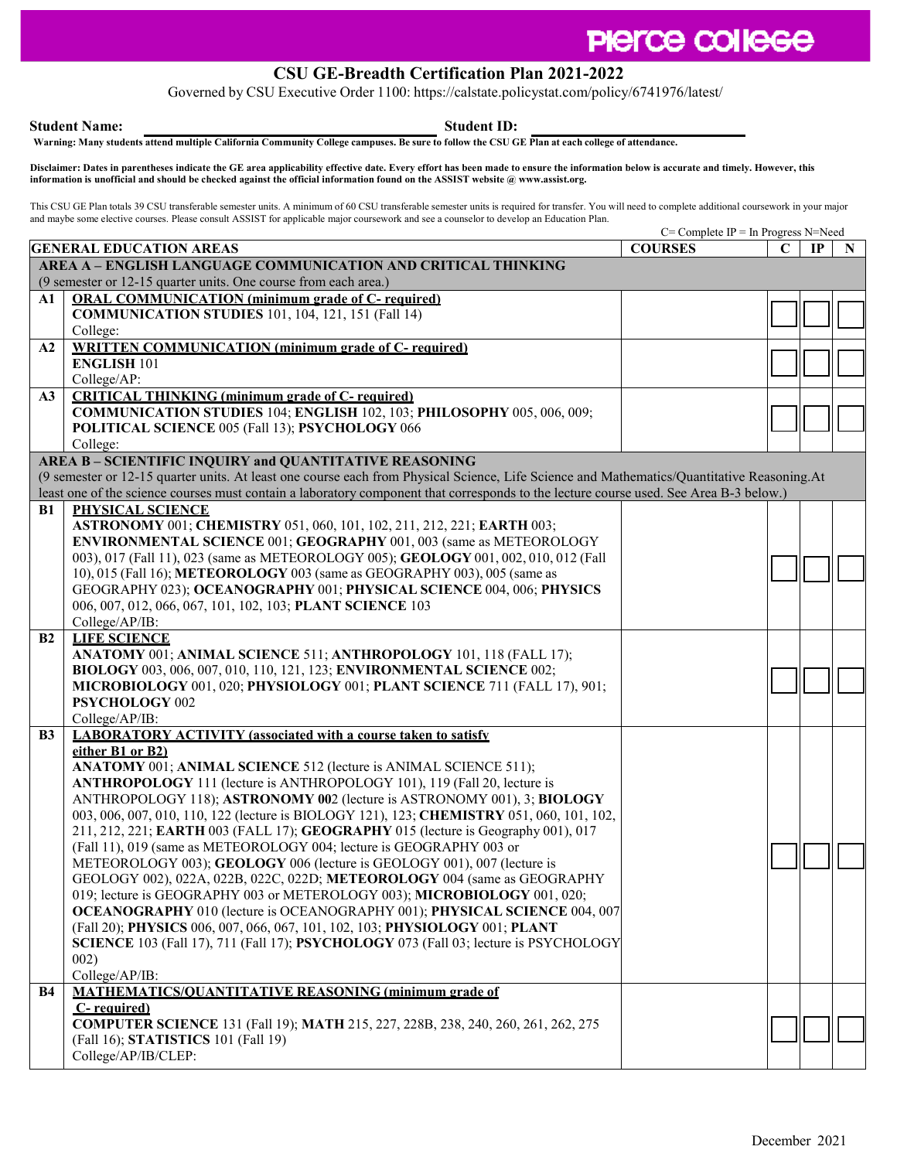## **PIerce college**

## **CSU GE-Breadth Certification Plan 2021-2022**

Governed by CSU Executive Order 1100: https://calstate.policystat.com/policy/6741976/latest/

**Student Name: Student ID:**

Warning: Many students attend multiple California Community College campuses. Be sure to follow the CSU GE Plan at each college of attendance.

**Disclaimer: Dates in parentheses indicate the GE area applicability effective date. Every effort has been made to ensure the information below is accurate and timely. However, this information is unofficial and should be checked against the official information found on the ASSIST website [@ www.assist.org.](http://www.assist.org/)**

This CSU GE Plan totals 39 CSU transferable semester units. A minimum of 60 CSU transferable semester units is required for transfer. You will need to complete additional coursework in your major and maybe some elective courses. Please consult ASSIST for applicable major coursework and see a counselor to develop an Education Plan.

|                                                                                                                                             |                                                                                                                                        | $C =$ Complete IP = In Progress N=Need |             |    |   |  |  |  |  |
|---------------------------------------------------------------------------------------------------------------------------------------------|----------------------------------------------------------------------------------------------------------------------------------------|----------------------------------------|-------------|----|---|--|--|--|--|
|                                                                                                                                             | <b>GENERAL EDUCATION AREAS</b>                                                                                                         | <b>COURSES</b>                         | $\mathbf C$ | IP | N |  |  |  |  |
| AREA A - ENGLISH LANGUAGE COMMUNICATION AND CRITICAL THINKING                                                                               |                                                                                                                                        |                                        |             |    |   |  |  |  |  |
|                                                                                                                                             | (9 semester or 12-15 quarter units. One course from each area.)                                                                        |                                        |             |    |   |  |  |  |  |
| A1                                                                                                                                          | <b>ORAL COMMUNICATION</b> (minimum grade of C- required)                                                                               |                                        |             |    |   |  |  |  |  |
|                                                                                                                                             | <b>COMMUNICATION STUDIES</b> 101, 104, 121, 151 (Fall 14)                                                                              |                                        |             |    |   |  |  |  |  |
|                                                                                                                                             | College:                                                                                                                               |                                        |             |    |   |  |  |  |  |
| A2                                                                                                                                          | <b>WRITTEN COMMUNICATION (minimum grade of C- required)</b>                                                                            |                                        |             |    |   |  |  |  |  |
|                                                                                                                                             | <b>ENGLISH 101</b>                                                                                                                     |                                        |             |    |   |  |  |  |  |
|                                                                                                                                             | College/AP:                                                                                                                            |                                        |             |    |   |  |  |  |  |
| A3                                                                                                                                          | <b>CRITICAL THINKING (minimum grade of C- required)</b>                                                                                |                                        |             |    |   |  |  |  |  |
|                                                                                                                                             | COMMUNICATION STUDIES 104; ENGLISH 102, 103; PHILOSOPHY 005, 006, 009;                                                                 |                                        |             |    |   |  |  |  |  |
|                                                                                                                                             | POLITICAL SCIENCE 005 (Fall 13); PSYCHOLOGY 066                                                                                        |                                        |             |    |   |  |  |  |  |
|                                                                                                                                             | College:                                                                                                                               |                                        |             |    |   |  |  |  |  |
|                                                                                                                                             | AREA B - SCIENTIFIC INQUIRY and QUANTITATIVE REASONING                                                                                 |                                        |             |    |   |  |  |  |  |
| (9 semester or 12-15 quarter units. At least one course each from Physical Science, Life Science and Mathematics/Quantitative Reasoning. At |                                                                                                                                        |                                        |             |    |   |  |  |  |  |
|                                                                                                                                             | least one of the science courses must contain a laboratory component that corresponds to the lecture course used. See Area B-3 below.) |                                        |             |    |   |  |  |  |  |
| B1                                                                                                                                          | PHYSICAL SCIENCE                                                                                                                       |                                        |             |    |   |  |  |  |  |
|                                                                                                                                             | ASTRONOMY 001; CHEMISTRY 051, 060, 101, 102, 211, 212, 221; EARTH 003;                                                                 |                                        |             |    |   |  |  |  |  |
|                                                                                                                                             | ENVIRONMENTAL SCIENCE 001; GEOGRAPHY 001, 003 (same as METEOROLOGY                                                                     |                                        |             |    |   |  |  |  |  |
|                                                                                                                                             | 003), 017 (Fall 11), 023 (same as METEOROLOGY 005); GEOLOGY 001, 002, 010, 012 (Fall                                                   |                                        |             |    |   |  |  |  |  |
|                                                                                                                                             | 10), 015 (Fall 16); METEOROLOGY 003 (same as GEOGRAPHY 003), 005 (same as                                                              |                                        |             |    |   |  |  |  |  |
|                                                                                                                                             | GEOGRAPHY 023); OCEANOGRAPHY 001; PHYSICAL SCIENCE 004, 006; PHYSICS                                                                   |                                        |             |    |   |  |  |  |  |
|                                                                                                                                             | 006, 007, 012, 066, 067, 101, 102, 103; PLANT SCIENCE 103                                                                              |                                        |             |    |   |  |  |  |  |
|                                                                                                                                             | College/AP/IB:                                                                                                                         |                                        |             |    |   |  |  |  |  |
| B <sub>2</sub>                                                                                                                              | <b>LIFE SCIENCE</b>                                                                                                                    |                                        |             |    |   |  |  |  |  |
|                                                                                                                                             | ANATOMY 001; ANIMAL SCIENCE 511; ANTHROPOLOGY 101, 118 (FALL 17);                                                                      |                                        |             |    |   |  |  |  |  |
|                                                                                                                                             | BIOLOGY 003, 006, 007, 010, 110, 121, 123; ENVIRONMENTAL SCIENCE 002;                                                                  |                                        |             |    |   |  |  |  |  |
|                                                                                                                                             | MICROBIOLOGY 001, 020; PHYSIOLOGY 001; PLANT SCIENCE 711 (FALL 17), 901;<br>PSYCHOLOGY 002                                             |                                        |             |    |   |  |  |  |  |
|                                                                                                                                             | College/AP/IB:                                                                                                                         |                                        |             |    |   |  |  |  |  |
| B <sub>3</sub>                                                                                                                              | <b>LABORATORY ACTIVITY (associated with a course taken to satisfy</b>                                                                  |                                        |             |    |   |  |  |  |  |
|                                                                                                                                             | either B1 or B2)                                                                                                                       |                                        |             |    |   |  |  |  |  |
|                                                                                                                                             | ANATOMY 001; ANIMAL SCIENCE 512 (lecture is ANIMAL SCIENCE 511);                                                                       |                                        |             |    |   |  |  |  |  |
|                                                                                                                                             | ANTHROPOLOGY 111 (lecture is ANTHROPOLOGY 101), 119 (Fall 20, lecture is                                                               |                                        |             |    |   |  |  |  |  |
|                                                                                                                                             | ANTHROPOLOGY 118); ASTRONOMY 002 (lecture is ASTRONOMY 001), 3; BIOLOGY                                                                |                                        |             |    |   |  |  |  |  |
|                                                                                                                                             | 003, 006, 007, 010, 110, 122 (lecture is BIOLOGY 121), 123; CHEMISTRY 051, 060, 101, 102,                                              |                                        |             |    |   |  |  |  |  |
|                                                                                                                                             | 211, 212, 221; EARTH 003 (FALL 17); GEOGRAPHY 015 (lecture is Geography 001), 017                                                      |                                        |             |    |   |  |  |  |  |
|                                                                                                                                             | (Fall 11), 019 (same as METEOROLOGY 004; lecture is GEOGRAPHY 003 or                                                                   |                                        |             |    |   |  |  |  |  |
|                                                                                                                                             | METEOROLOGY 003); GEOLOGY 006 (lecture is GEOLOGY 001), 007 (lecture is                                                                |                                        |             |    |   |  |  |  |  |
|                                                                                                                                             | GEOLOGY 002), 022A, 022B, 022C, 022D; METEOROLOGY 004 (same as GEOGRAPHY                                                               |                                        |             |    |   |  |  |  |  |
|                                                                                                                                             | 019; lecture is GEOGRAPHY 003 or METEROLOGY 003); MICROBIOLOGY 001, 020;                                                               |                                        |             |    |   |  |  |  |  |
|                                                                                                                                             | <b>OCEANOGRAPHY</b> 010 (lecture is OCEANOGRAPHY 001); PHYSICAL SCIENCE 004, 007                                                       |                                        |             |    |   |  |  |  |  |
|                                                                                                                                             | (Fall 20); PHYSICS 006, 007, 066, 067, 101, 102, 103; PHYSIOLOGY 001; PLANT                                                            |                                        |             |    |   |  |  |  |  |
|                                                                                                                                             | SCIENCE 103 (Fall 17), 711 (Fall 17); PSYCHOLOGY 073 (Fall 03; lecture is PSYCHOLOGY                                                   |                                        |             |    |   |  |  |  |  |
|                                                                                                                                             | 002)                                                                                                                                   |                                        |             |    |   |  |  |  |  |
|                                                                                                                                             | College/AP/IB:                                                                                                                         |                                        |             |    |   |  |  |  |  |
| B4                                                                                                                                          | <b>MATHEMATICS/OUANTITATIVE REASONING (minimum grade of</b>                                                                            |                                        |             |    |   |  |  |  |  |
|                                                                                                                                             | C-required)                                                                                                                            |                                        |             |    |   |  |  |  |  |
|                                                                                                                                             | COMPUTER SCIENCE 131 (Fall 19); MATH 215, 227, 228B, 238, 240, 260, 261, 262, 275                                                      |                                        |             |    |   |  |  |  |  |
|                                                                                                                                             | (Fall 16); STATISTICS 101 (Fall 19)                                                                                                    |                                        |             |    |   |  |  |  |  |
|                                                                                                                                             | College/AP/IB/CLEP:                                                                                                                    |                                        |             |    |   |  |  |  |  |